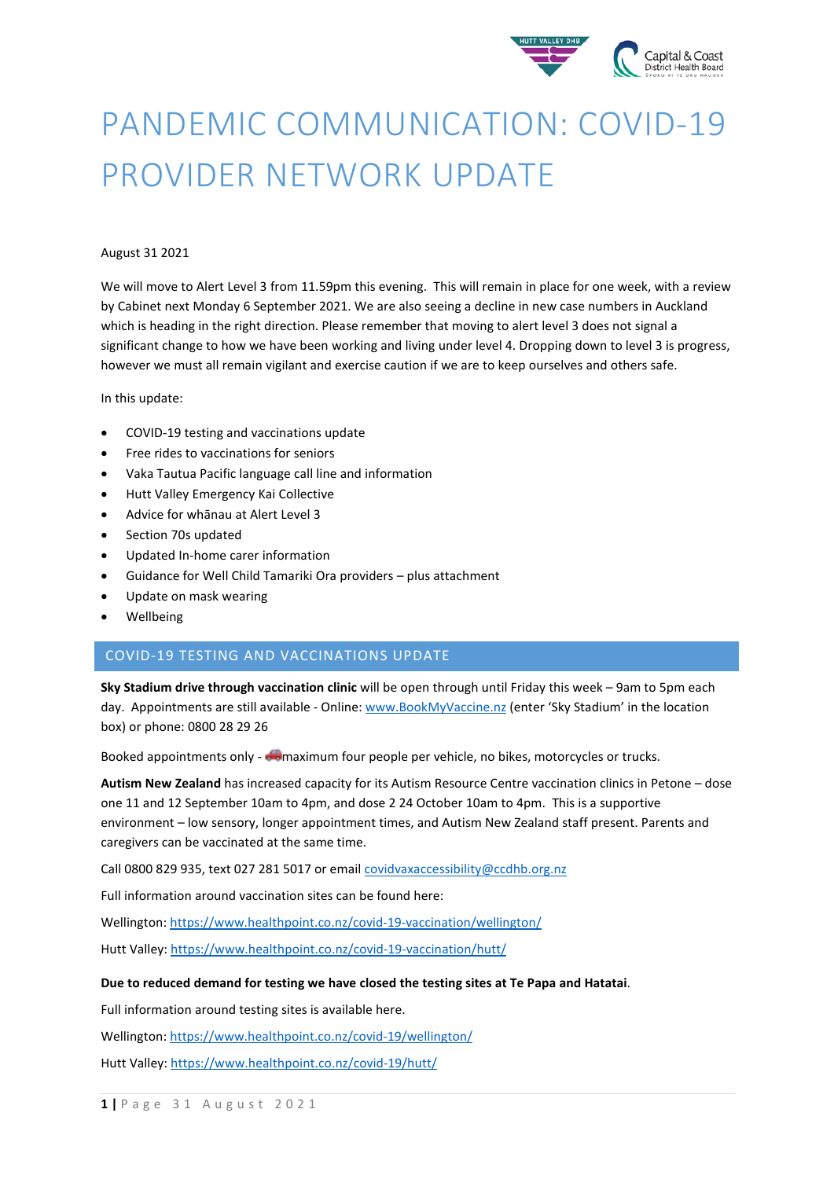

# PANDEMIC COMMUNICATION: COVID-19 PROVIDER NETWORK UPDATE

#### August 31 2021

We will move to Alert Level 3 from 11.59pm this evening. This will remain in place for one week, with a review by Cabinet next Monday 6 September 2021. We are also seeing a decline in new case numbers in Auckland which is heading in the right direction. Please remember that moving to alert level 3 does not signal a significant change to how we have been working and living under level 4. Dropping down to level 3 is progress, however we must all remain vigilant and exercise caution if we are to keep ourselves and others safe.

In this update:

- COVID-19 testing and vaccinations update
- Free rides to vaccinations for seniors
- Vaka Tautua Pacific language call line and information
- Hutt Valley Emergency Kai Collective
- Advice for whānau at Alert Level 3
- Section 70s updated
- Updated In-home carer information
- Guidance for Well Child Tamariki Ora providers plus attachment
- Update on mask wearing
- Wellbeing

## COVID-19 TESTING AND VACCINATIONS UPDATE

**Sky Stadium drive through vaccination clinic** will be open through until Friday this week – 9am to 5pm each day. Appointments are still available - Online: [www.BookMyVaccine.nz](https://l.facebook.com/l.php?u=http%3A%2F%2Fwww.BookMyVaccine.nz%2F%3Ffbclid%3DIwAR2_N_NaKl364spBj8XBSUHpYID2Nu4y5fdUC_3hk0tqhboH0Fg274ali7U&h=AT3Nl_0Dd7MCUNuM_ag4ijTsSYHdAyIO2GPibH-vThP6dTeqkqij1I_K53J5UVNxmk-7I-rVToYHNgkO4mRB2WzQpeZPBOGhxleyPFMRszP8YOOO0sXGoA-VenR6vHWWP3Qf&__tn__=-UK-R&c%5b0%5d=AT2D6TOmn04CjLUeJZIx9qMEQrcF_NKHkKRCyDgNbHkMAGsf24Mbo8gSY19LnmPufZteCy9nwLJC6W0oPlG6xkqcFrJD-kfwxR4TgY694_K25dsuMEZn8jUnUT-LK5RCmIwH2QBU9hNRM1WvdGmChajPH3hC4Cd7Dg_RapKy2lrCCRkIl-UC) (enter 'Sky Stadium' in the location box) or phone: 0800 28 29 26

Booked appointments only - maximum four people per vehicle, no bikes, motorcycles or trucks.

**Autism New Zealand** has increased capacity for its Autism Resource Centre vaccination clinics in Petone – dose one 11 and 12 September 10am to 4pm, and dose 2 24 October 10am to 4pm. This is a supportive environment – low sensory, longer appointment times, and Autism New Zealand staff present. Parents and caregivers can be vaccinated at the same time.

Call 0800 829 935, text 027 281 5017 or email [covidvaxaccessibility@ccdhb.org.nz](mailto:covidvaxaccessibility@ccdhb.org.nz)

Full information around vaccination sites can be found here:

Wellington[: https://www.healthpoint.co.nz/covid-19-vaccination/wellington/](https://www.healthpoint.co.nz/covid-19-vaccination/wellington/)

Hutt Valley:<https://www.healthpoint.co.nz/covid-19-vaccination/hutt/>

#### **Due to reduced demand for testing we have closed the testing sites at Te Papa and Hatatai**.

Full information around testing sites is available here.

Wellington[: https://www.healthpoint.co.nz/covid-19/wellington/](https://www.healthpoint.co.nz/covid-19/wellington/)

Hutt Valley:<https://www.healthpoint.co.nz/covid-19/hutt/>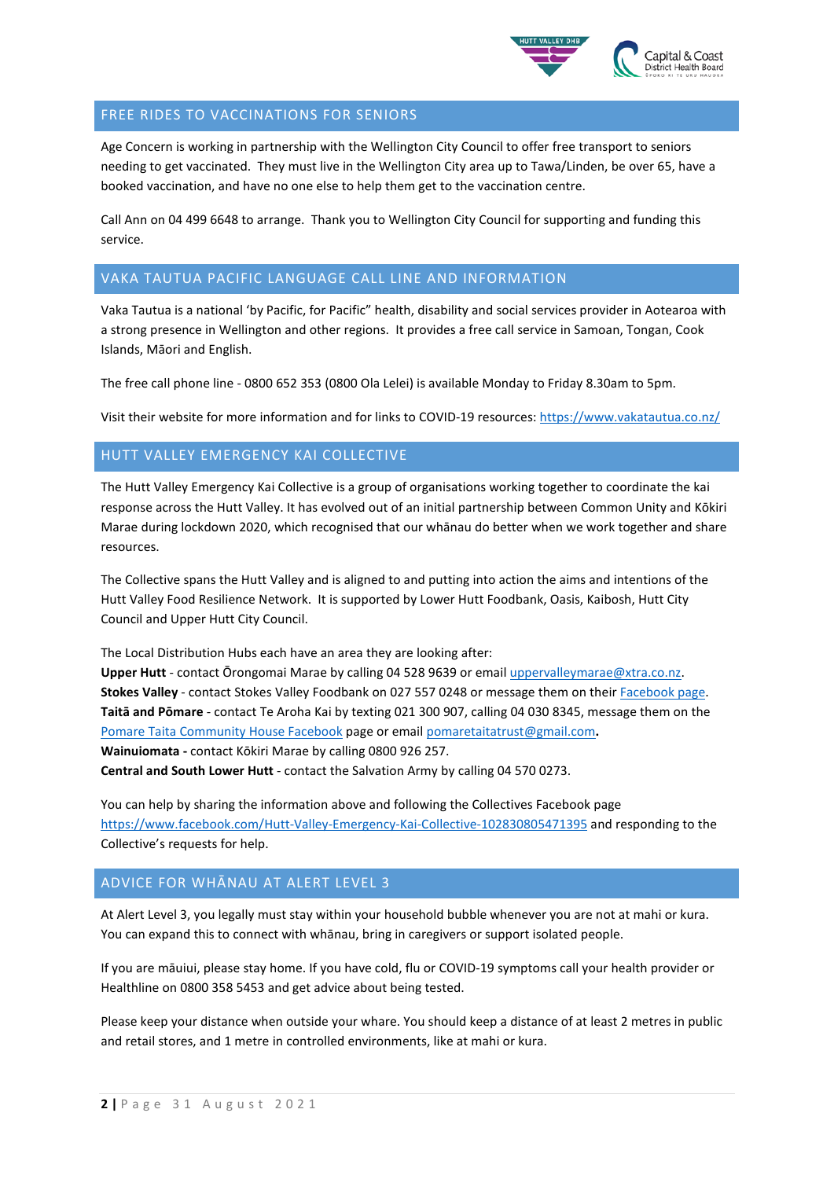

## FREE RIDES TO VACCINATIONS FOR SENIORS

Age Concern is working in partnership with the Wellington City Council to offer free transport to seniors needing to get vaccinated. They must live in the Wellington City area up to Tawa/Linden, be over 65, have a booked vaccination, and have no one else to help them get to the vaccination centre.

Call Ann on 04 499 6648 to arrange. Thank you to Wellington City Council for supporting and funding this service.

## VAKA TAUTUA PACIFIC LANGUAGE CALL LINE AND INFORMATION

Vaka Tautua is a national 'by Pacific, for Pacific" health, disability and social services provider in Aotearoa with a strong presence in Wellington and other regions. It provides a free call service in Samoan, Tongan, Cook Islands, Māori and English.

The free call phone line - 0800 652 353 (0800 Ola Lelei) is available Monday to Friday 8.30am to 5pm.

Visit their website for more information and for links to COVID-19 resources[: https://www.vakatautua.co.nz/](https://www.vakatautua.co.nz/)

# HUTT VALLEY EMERGENCY KAI COLLECTIVE

The Hutt Valley Emergency Kai Collective is a group of organisations working together to coordinate the kai response across the Hutt Valley. It has evolved out of an initial partnership between Common Unity and Kōkiri Marae during lockdown 2020, which recognised that our whānau do better when we work together and share resources.

The Collective spans the Hutt Valley and is aligned to and putting into action the aims and intentions of the Hutt Valley Food Resilience Network. It is supported by Lower Hutt Foodbank, Oasis, Kaibosh, Hutt City Council and Upper Hutt City Council.

The Local Distribution Hubs each have an area they are looking after:

**Upper Hutt** - contact Ōrongomai Marae by calling 04 528 9639 or email [uppervalleymarae@xtra.co.nz.](mailto:uppervalleymarae@xtra.co.nz%C2%A0) **Stokes Valley** - contact Stokes Valley Foodbank on 027 557 0248 or message them on their [Facebook page.](https://urldefense.com/v3/__https:/gmail.us5.list-manage.com/track/click?u=67cf7559873ebb45962a15182&id=69773d8aab&e=5b1a879200__;!!A3teau8g8Q!FTqPBoXAkuB0PPp7Irn6rY3zMyIiN7wIpRmzP3C6QPJqUmA2EpU39_Ity8F5r47-0SFCMg$) **Taitā and Pōmare** - contact Te Aroha Kai by texting 021 300 907, calling 04 030 8345, message them on the [Pomare Taita Community House Facebook](https://urldefense.com/v3/__https:/gmail.us5.list-manage.com/track/click?u=67cf7559873ebb45962a15182&id=f90643a29b&e=5b1a879200__;!!A3teau8g8Q!FTqPBoXAkuB0PPp7Irn6rY3zMyIiN7wIpRmzP3C6QPJqUmA2EpU39_Ity8F5r46C0pHfYg$) page or email [pomaretaitatrust@gmail.com](mailto:pomaretaitatrust@gmail.com)**. Wainuiomata -** contact Kōkiri Marae by calling 0800 926 257.

**Central and South Lower Hutt** - contact the Salvation Army by calling 04 570 0273.

You can help by sharing the information above and following the Collectives Facebook page <https://www.facebook.com/Hutt-Valley-Emergency-Kai-Collective-102830805471395> and responding to the Collective's requests for help.

## ADVICE FOR WHĀNAU AT ALERT LEVEL 3

At Alert Level 3, you legally must stay within your household bubble whenever you are not at mahi or kura. You can expand this to connect with whānau, bring in caregivers or support isolated people.

If you are māuiui, please stay home. If you have cold, flu or COVID-19 symptoms call your health provider or Healthline on 0800 358 5453 and get advice about being tested.

Please keep your distance when outside your whare. You should keep a distance of at least 2 metres in public and retail stores, and 1 metre in controlled environments, like at mahi or kura.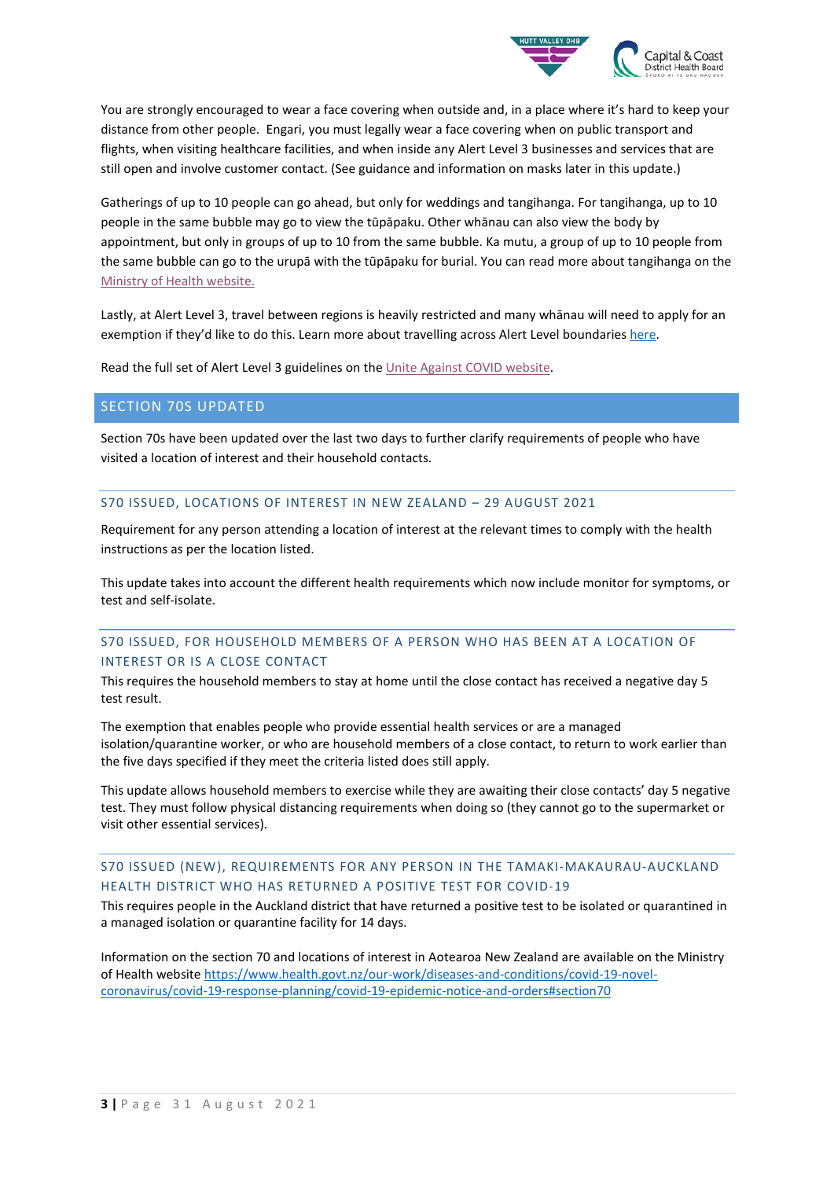

You are strongly encouraged to wear a face covering when outside and, in a place where it's hard to keep your distance from other people. Engari, you must legally wear a face covering when on public transport and flights, when visiting healthcare facilities, and when inside any Alert Level 3 businesses and services that are still open and involve customer contact. (See guidance and information on masks later in this update.)

Gatherings of up to 10 people can go ahead, but only for weddings and tangihanga. For tangihanga, up to 10 people in the same bubble may go to view the tūpāpaku. Other whānau can also view the body by appointment, but only in groups of up to 10 from the same bubble. Ka mutu, a group of up to 10 people from the same bubble can go to the urupā with the tūpāpaku for burial. You can read more about tangihanga on the [Ministry of Health website.](https://urldefense.com/v3/__https:/www.health.govt.nz/our-work/diseases-and-conditions/covid-19-novel-coronavirus/covid-19-information-specific-audiences/covid-19-deaths-funerals-and-tangihanga/guidance-alert-level-3-deaths-funerals-and-tangihanga__;!!A3teau8g8Q!AgZpYr2c_DXyfdiySKD0i4z7ZC6bSo5ESlngfUoZKsqMCuIuoBLDhP5E6LBjem-5G-_v$)

Lastly, at Alert Level 3, travel between regions is heavily restricted and many whānau will need to apply for an exemption if they'd like to do this. Learn more about travelling across Alert Level boundaries [here.](https://urldefense.com/v3/__https:/covid19.govt.nz/travel/travelling-across-alert-level-boundaries/__;!!A3teau8g8Q!AgZpYr2c_DXyfdiySKD0i4z7ZC6bSo5ESlngfUoZKsqMCuIuoBLDhP5E6LBjes9tFOsN$) 

Read the full set of Alert Level 3 guidelines on th[e Unite Against COVID website.](https://urldefense.com/v3/__https:/covid19.govt.nz/alert-levels-and-updates/alert-level-3/__;!!A3teau8g8Q!AgZpYr2c_DXyfdiySKD0i4z7ZC6bSo5ESlngfUoZKsqMCuIuoBLDhP5E6LBjeijF81m_$)

#### SECTION 70S UPDATED

Section 70s have been updated over the last two days to further clarify requirements of people who have visited a location of interest and their household contacts.

#### S70 ISSUED, LOCATIONS OF INTEREST IN NEW ZEALAND – 29 AUGUST 2021

Requirement for any person attending a location of interest at the relevant times to comply with the health instructions as per the location listed.

This update takes into account the different health requirements which now include monitor for symptoms, or test and self-isolate.

#### S70 ISSUED, FOR HOUSEHOLD MEMBERS OF A PERSON WHO HAS BEEN AT A LOCATION OF INTEREST OR IS A CLOSE CONTACT

This requires the household members to stay at home until the close contact has received a negative day 5 test result.

The exemption that enables people who provide essential health services or are a managed isolation/quarantine worker, or who are household members of a close contact, to return to work earlier than the five days specified if they meet the criteria listed does still apply.

This update allows household members to exercise while they are awaiting their close contacts' day 5 negative test. They must follow physical distancing requirements when doing so (they cannot go to the supermarket or visit other essential services).

#### S70 ISSUED (NEW), REQUIREMENTS FOR ANY PERSON IN THE TAMAKI-MAKAURAU-AUCKLAND HEALTH DISTRICT WHO HAS RETURNED A POSITIVE TEST FOR COVID-19

This requires people in the Auckland district that have returned a positive test to be isolated or quarantined in a managed isolation or quarantine facility for 14 days.

Information on the section 70 and locations of interest in Aotearoa New Zealand are available on the Ministry of Health website [https://www.health.govt.nz/our-work/diseases-and-conditions/covid-19-novel](https://www.health.govt.nz/our-work/diseases-and-conditions/covid-19-novel-coronavirus/covid-19-response-planning/covid-19-epidemic-notice-and-orders#section70)[coronavirus/covid-19-response-planning/covid-19-epidemic-notice-and-orders#section70](https://www.health.govt.nz/our-work/diseases-and-conditions/covid-19-novel-coronavirus/covid-19-response-planning/covid-19-epidemic-notice-and-orders#section70)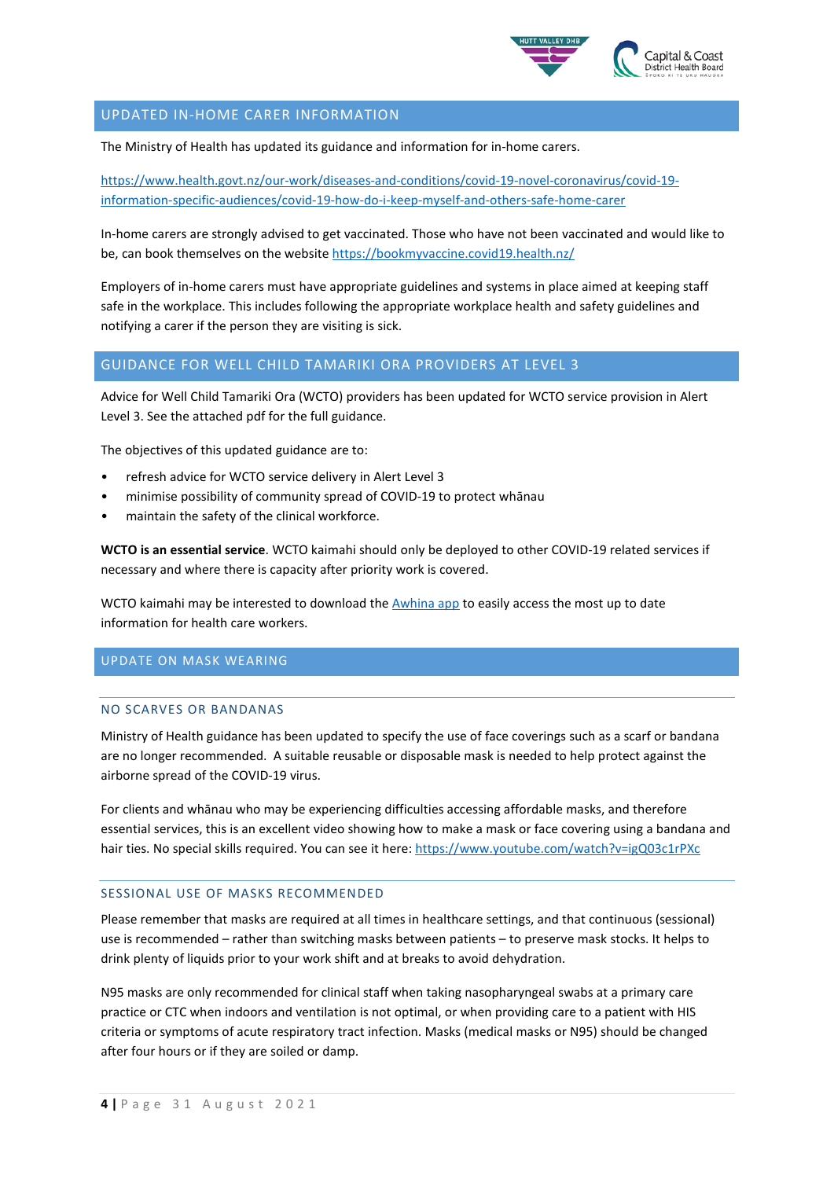

#### UPDATED IN-HOME CARER INFORMATION

The Ministry of Health has updated its guidance and information for in-home carers.

https://www.health.govt.nz/our-work/diseases-and-conditions/covid-19-novel-coronavirus/covid-19 information-specific-audiences/covid-19-how-do-i-keep-myself-and-others-safe-home-carer

In-home carers are strongly advised to get vaccinated. Those who have not been vaccinated and would like to be, can book themselves on the website <https://bookmyvaccine.covid19.health.nz/>

Employers of in-home carers must have appropriate guidelines and systems in place aimed at keeping staff safe in the workplace. This includes following the appropriate workplace health and safety guidelines and notifying a carer if the person they are visiting is sick.

#### GUIDANCE FOR WELL CHILD TAMARIKI ORA PROVIDERS AT LEVEL 3

Advice for Well Child Tamariki Ora (WCTO) providers has been updated for WCTO service provision in Alert Level 3. See the attached pdf for the full guidance.

The objectives of this updated guidance are to:

- refresh advice for WCTO service delivery in Alert Level 3
- minimise possibility of community spread of COVID-19 to protect whānau
- maintain the safety of the clinical workforce.

**WCTO is an essential service**. WCTO kaimahi should only be deployed to other COVID-19 related services if necessary and where there is capacity after priority work is covered.

WCTO kaimahi may be interested to download the [Awhina app](https://www.health.govt.nz/our-work/diseases-and-conditions/covid-19-novel-coronavirus/covid-19-information-health-professionals/covid-19-awhina-app) to easily access the most up to date information for health care workers.

#### UPDATE ON MASK WEARING

#### NO SCARVES OR BANDANAS

Ministry of Health guidance has been updated to specify the use of face coverings such as a scarf or bandana are no longer recommended. A suitable reusable or disposable mask is needed to help protect against the airborne spread of the COVID-19 virus.

For clients and whānau who may be experiencing difficulties accessing affordable masks, and therefore essential services, this is an excellent video showing how to make a mask or face covering using a bandana and hair ties. No special skills required. You can see it here[: https://www.youtube.com/watch?v=igQ03c1rPXc](https://www.youtube.com/watch?v=igQ03c1rPXc)

#### SESSIONAL USE OF MASKS RECOMMENDED

Please remember that masks are required at all times in healthcare settings, and that continuous (sessional) use is recommended – rather than switching masks between patients – to preserve mask stocks. It helps to drink plenty of liquids prior to your work shift and at breaks to avoid dehydration.

N95 masks are only recommended for clinical staff when taking nasopharyngeal swabs at a primary care practice or CTC when indoors and ventilation is not optimal, or when providing care to a patient with HIS criteria or symptoms of acute respiratory tract infection. Masks (medical masks or N95) should be changed after four hours or if they are soiled or damp.